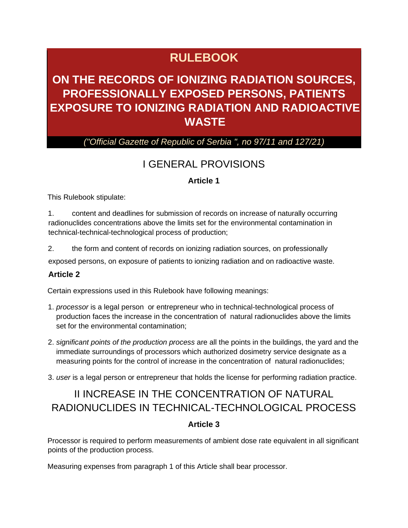# **RULEBOOK**

# **ON THE RECORDS OF IONIZING RADIATION SOURCES, PROFESSIONALLY EXPOSED PERSONS, PATIENTS EXPOSURE TO IONIZING RADIATION AND RADIOACTIVE WASTE**

## *("Official Gazette of Republic of Serbia ", no 97/11 and 127/21)*

## I GENERAL PROVISIONS

### **Article 1**

This Rulebook stipulate:

1. content and deadlines for submission of records on increase of naturally occurring radionuclides concentrations above the limits set for the environmental contamination in technical-technical-technological process of production;

2. the form and content of records on ionizing radiation sources, on professionally

exposed persons, on exposure of patients to ionizing radiation and on radioactive waste.

#### **Article 2**

Certain expressions used in this Rulebook have following meanings:

- 1. *processor* is a legal person or entrepreneur who in technical-technological process of production faces the increase in the concentration of natural radionuclides above the limits set for the environmental contamination;
- 2. *significant points of the production process* are all the points in the buildings, the yard and the immediate surroundings of processors which authorized dosimetry service designate as a measuring points for the control of increase in the concentration of natural radionuclides;
- 3. *user* is a legal person or entrepreneur that holds the license for performing radiation practice.

# II INCREASE IN THE CONCENTRATION OF NATURAL RADIONUCLIDES IN TECHNICAL-TECHNOLOGICAL PROCESS

#### **Article 3**

Processor is required to perform measurements of ambient dose rate equivalent in all significant points of the production process.

Measuring expenses from paragraph 1 of this Article shall bear processor.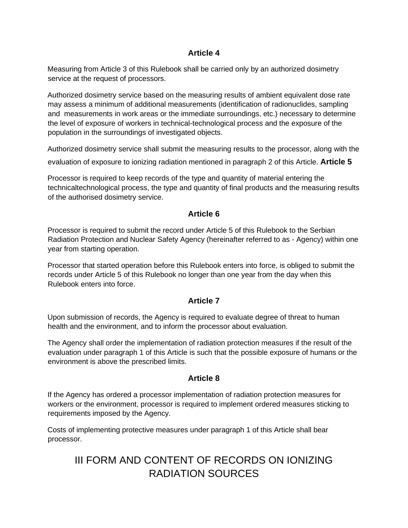Measuring from Article 3 of this Rulebook shall be carried only by an authorized dosimetry service at the request of processors.

Authorized dosimetry service based on the measuring results of ambient equivalent dose rate may assess a minimum of additional measurements (identification of radionuclides, sampling and measurements in work areas or the immediate surroundings, etc.) necessary to determine the level of exposure of workers in technical-technological process and the exposure of the population in the surroundings of investigated objects.

Authorized dosimetry service shall submit the measuring results to the processor, along with the

evaluation of exposure to ionizing radiation mentioned in paragraph 2 of this Article. **Article 5** 

Processor is required to keep records of the type and quantity of material entering the technicaltechnological process, the type and quantity of final products and the measuring results of the authorised dosimetry service.

### **Article 6**

Processor is required to submit the record under Article 5 of this Rulebook to the Serbian Radiation Protection and Nuclear Safety Agency (hereinafter referred to as - Agency) within one year from starting operation.

Processor that started operation before this Rulebook enters into force, is obliged to submit the records under Article 5 of this Rulebook no longer than one year from the day when this Rulebook enters into force.

## **Article 7**

Upon submission of records, the Agency is required to evaluate degree of threat to human health and the environment, and to inform the processor about evaluation.

The Agency shall order the implementation of radiation protection measures if the result of the evaluation under paragraph 1 of this Article is such that the possible exposure of humans or the environment is above the prescribed limits.

## **Article 8**

If the Agency has ordered a processor implementation of radiation protection measures for workers or the environment, processor is required to implement ordered measures sticking to requirements imposed by the Agency.

Costs of implementing protective measures under paragraph 1 of this Article shall bear processor.

# III FORM AND CONTENT OF RECORDS ON IONIZING RADIATION SOURCES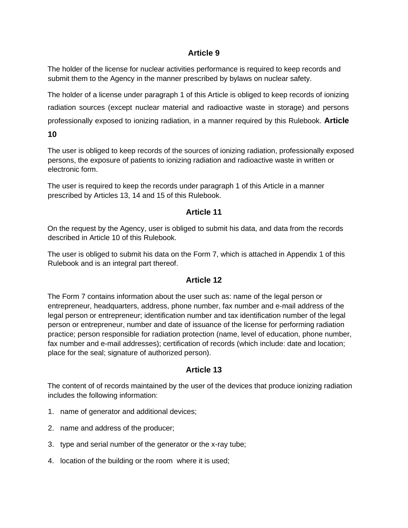The holder of the license for nuclear activities performance is required to keep records and submit them to the Agency in the manner prescribed by bylaws on nuclear safety.

The holder of a license under paragraph 1 of this Article is obliged to keep records of ionizing radiation sources (except nuclear material and radioactive waste in storage) and persons professionally exposed to ionizing radiation, in a manner required by this Rulebook. **Article** 

**10** 

The user is obliged to keep records of the sources of ionizing radiation, professionally exposed persons, the exposure of patients to ionizing radiation and radioactive waste in written or electronic form.

The user is required to keep the records under paragraph 1 of this Article in a manner prescribed by Articles 13, 14 and 15 of this Rulebook.

## **Article 11**

On the request by the Agency, user is obliged to submit his data, and data from the records described in Article 10 of this Rulebook.

The user is obliged to submit his data on the Form 7, which is attached in Appendix 1 of this Rulebook and is an integral part thereof.

## **Article 12**

The Form 7 contains information about the user such as: name of the legal person or entrepreneur, headquarters, address, phone number, fax number and e-mail address of the legal person or entrepreneur; identification number and tax identification number of the legal person or entrepreneur, number and date of issuance of the license for performing radiation practice; person responsible for radiation protection (name, level of education, phone number, fax number and e-mail addresses); certification of records (which include: date and location; place for the seal; signature of authorized person).

## **Article 13**

The content of of records maintained by the user of the devices that produce ionizing radiation includes the following information:

- 1. name of generator and additional devices;
- 2. name and address of the producer;
- 3. type and serial number of the generator or the x-ray tube;
- 4. location of the building or the room where it is used;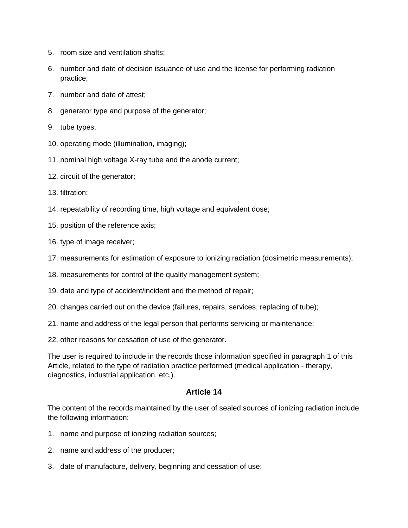- 5. room size and ventilation shafts;
- 6. number and date of decision issuance of use and the license for performing radiation practice;
- 7. number and date of attest;
- 8. generator type and purpose of the generator;
- 9. tube types;
- 10. operating mode (illumination, imaging);
- 11. nominal high voltage X-ray tube and the anode current;
- 12. circuit of the generator;
- 13. filtration;
- 14. repeatability of recording time, high voltage and equivalent dose;
- 15. position of the reference axis;
- 16. type of image receiver;
- 17. measurements for estimation of exposure to ionizing radiation (dosimetric measurements);
- 18. measurements for control of the quality management system;
- 19. date and type of accident/incident and the method of repair;
- 20. changes carried out on the device (failures, repairs, services, replacing of tube);
- 21. name and address of the legal person that performs servicing or maintenance;
- 22. other reasons for cessation of use of the generator.

The user is required to include in the records those information specified in paragraph 1 of this Article, related to the type of radiation practice performed (medical application - therapy, diagnostics, industrial application, etc.).

#### **Article 14**

The content of the records maintained by the user of sealed sources of ionizing radiation include the following information:

- 1. name and purpose of ionizing radiation sources;
- 2. name and address of the producer;
- 3. date of manufacture, delivery, beginning and cessation of use;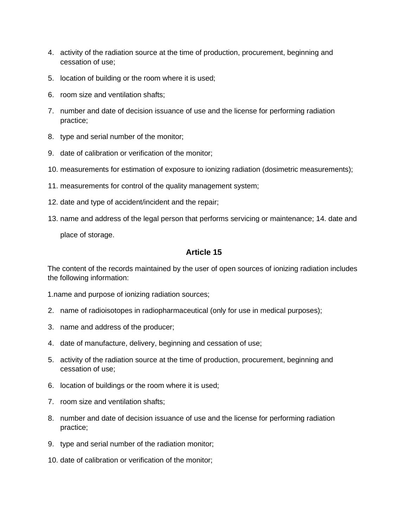- 4. activity of the radiation source at the time of production, procurement, beginning and cessation of use;
- 5. location of building or the room where it is used;
- 6. room size and ventilation shafts;
- 7. number and date of decision issuance of use and the license for performing radiation practice;
- 8. type and serial number of the monitor;
- 9. date of calibration or verification of the monitor;
- 10. measurements for estimation of exposure to ionizing radiation (dosimetric measurements);
- 11. measurements for control of the quality management system;
- 12. date and type of accident/incident and the repair;
- 13. name and address of the legal person that performs servicing or maintenance; 14. date and place of storage.

The content of the records maintained by the user of open sources of ionizing radiation includes the following information:

1.name and purpose of ionizing radiation sources;

- 2. name of radioisotopes in radiopharmaceutical (only for use in medical purposes);
- 3. name and address of the producer;
- 4. date of manufacture, delivery, beginning and cessation of use;
- 5. activity of the radiation source at the time of production, procurement, beginning and cessation of use;
- 6. location of buildings or the room where it is used;
- 7. room size and ventilation shafts;
- 8. number and date of decision issuance of use and the license for performing radiation practice;
- 9. type and serial number of the radiation monitor;
- 10. date of calibration or verification of the monitor;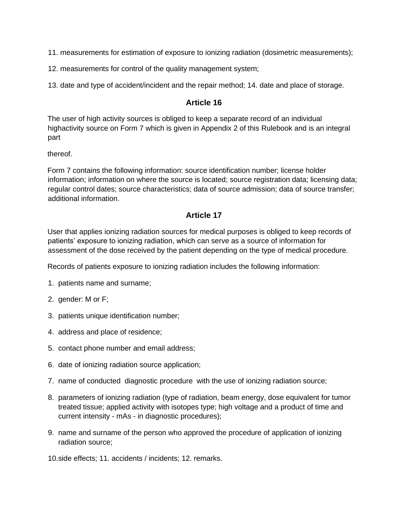11. measurements for estimation of exposure to ionizing radiation (dosimetric measurements);

- 12. measurements for control of the quality management system;
- 13. date and type of accident/incident and the repair method; 14. date and place of storage.

### **Article 16**

The user of high activity sources is obliged to keep a separate record of an individual highactivity source on Form 7 which is given in Appendix 2 of this Rulebook and is an integral part

thereof.

Form 7 contains the following information: source identification number; license holder information; information on where the source is located; source registration data; licensing data; regular control dates; source characteristics; data of source admission; data of source transfer; additional information.

### **Article 17**

User that applies ionizing radiation sources for medical purposes is obliged to keep records of patients' exposure to ionizing radiation, which can serve as a source of information for assessment of the dose received by the patient depending on the type of medical procedure.

Records of patients exposure to ionizing radiation includes the following information:

- 1. patients name and surname;
- 2. gender: M or F;
- 3. patients unique identification number;
- 4. address and place of residence;
- 5. contact phone number and email address;
- 6. date of ionizing radiation source application;
- 7. name of conducted diagnostic procedure with the use of ionizing radiation source;
- 8. parameters of ionizing radiation (type of radiation, beam energy, dose equivalent for tumor treated tissue; applied activity with isotopes type; high voltage and a product of time and current intensity - mAs - in diagnostic procedures);
- 9. name and surname of the person who approved the procedure of application of ionizing radiation source;
- 10.side effects; 11. accidents / incidents; 12. remarks.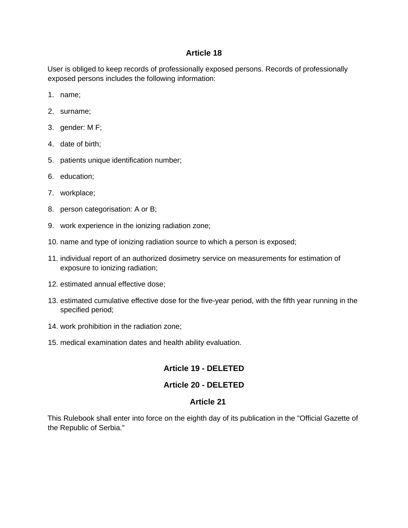User is obliged to keep records of professionally exposed persons. Records of professionally exposed persons includes the following information:

- 1. name;
- 2. surname;
- 3. gender: M F;
- 4. date of birth;
- 5. patients unique identification number;
- 6. education;
- 7. workplace;
- 8. person categorisation: A or B;
- 9. work experience in the ionizing radiation zone;
- 10. name and type of ionizing radiation source to which a person is exposed;
- 11. individual report of an authorized dosimetry service on measurements for estimation of exposure to ionizing radiation;
- 12. estimated annual effective dose;
- 13. estimated cumulative effective dose for the five-year period, with the fifth year running in the specified period;
- 14. work prohibition in the radiation zone;
- 15. medical examination dates and health ability evaluation.

## **Article 19 - DELETED**

## **Article 20 - DELETED**

#### **Article 21**

This Rulebook shall enter into force on the eighth day of its publication in the "Official Gazette of the Republic of Serbia."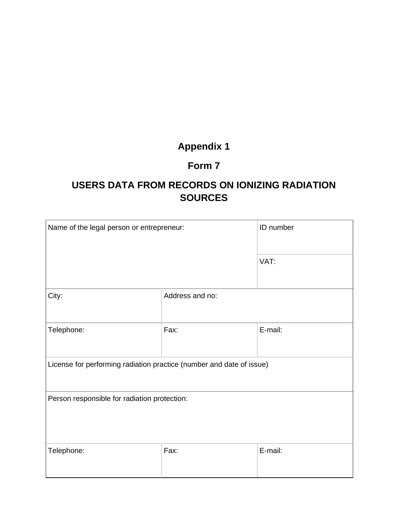# **Appendix 1**

## **Form 7**

## **USERS DATA FROM RECORDS ON IONIZING RADIATION SOURCES**

| Name of the legal person or entrepreneur:                            |                 | ID number |  |  |
|----------------------------------------------------------------------|-----------------|-----------|--|--|
|                                                                      |                 | VAT:      |  |  |
| City:                                                                | Address and no: |           |  |  |
| Telephone:                                                           | Fax:            | E-mail:   |  |  |
| License for performing radiation practice (number and date of issue) |                 |           |  |  |
| Person responsible for radiation protection:                         |                 |           |  |  |
| Telephone:                                                           | Fax:            | E-mail:   |  |  |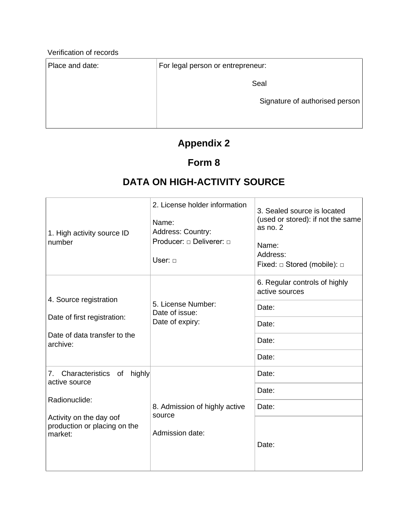Verification of records

Place and date: For legal person or entrepreneur:

Seal

Signature of authorised person

 $\overline{\phantom{a}}$ 

## **Appendix 2**

## **Form 8**

# **DATA ON HIGH-ACTIVITY SOURCE**

| 1. High activity source ID<br>number                                                                                                    | 2. License holder information<br>Name:<br>Address: Country:<br>Producer: $\Box$ Deliverer: $\Box$<br>User: 0 | 3. Sealed source is located<br>(used or stored): if not the same<br>as no. 2<br>Name:<br>Address:<br>Fixed: $\Box$ Stored (mobile): $\Box$ |
|-----------------------------------------------------------------------------------------------------------------------------------------|--------------------------------------------------------------------------------------------------------------|--------------------------------------------------------------------------------------------------------------------------------------------|
| 4. Source registration                                                                                                                  | 5. License Number:<br>Date of issue:<br>Date of expiry:                                                      | 6. Regular controls of highly<br>active sources                                                                                            |
|                                                                                                                                         |                                                                                                              | Date:                                                                                                                                      |
| Date of first registration:                                                                                                             |                                                                                                              | Date:                                                                                                                                      |
| Date of data transfer to the<br>archive:                                                                                                |                                                                                                              | Date:                                                                                                                                      |
|                                                                                                                                         |                                                                                                              | Date:                                                                                                                                      |
| 7. Characteristics<br>of highly<br>active source<br>Radionuclide:<br>Activity on the day oof<br>production or placing on the<br>market: |                                                                                                              | Date:                                                                                                                                      |
|                                                                                                                                         |                                                                                                              | Date:                                                                                                                                      |
|                                                                                                                                         | 8. Admission of highly active<br>source<br>Admission date:                                                   | Date:                                                                                                                                      |
|                                                                                                                                         |                                                                                                              | Date:                                                                                                                                      |